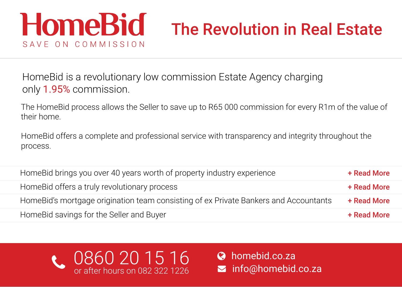# **HomeBid** The Revolution in Real Estate SAVE ON COMMISSION

HomeBid is a revolutionary low commission Estate Agency charging only 1.95% commission.

The HomeBid process allows the Seller to save up to R65 000 commission for every R1m of the value of their home.

HomeBid offers a complete and professional service with transparency and integrity throughout the process.

| HomeBid brings you over 40 years worth of property industry experience                | + Read More |
|---------------------------------------------------------------------------------------|-------------|
| Home Bid offers a truly revolutionary process                                         | + Read More |
| Home Bid's mortgage origination team consisting of ex Private Bankers and Accountants | + Read More |
| HomeBid savings for the Seller and Buyer                                              | + Read More |



 $\boldsymbol{\omega}$  $\blacktriangleright$  info@homebid.co.za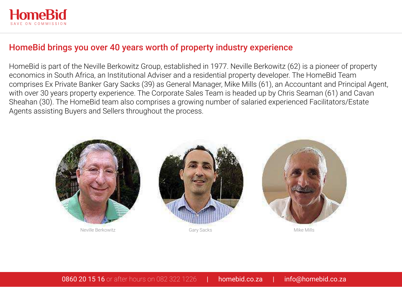<span id="page-1-0"></span>

## HomeBid brings you over 40 years worth of property industry experience

HomeBid is part of the Neville Berkowitz Group, established in 1977. Neville Berkowitz (62) is a pioneer of property economics in South Africa, an Institutional Adviser and a residential property developer. The HomeBid Team comprises Ex Private Banker Gary Sacks (39) as General Manager, Mike Mills (61), an Accountant and Principal Agent, with over 30 years property experience. The Corporate Sales Team is headed up by Chris Seaman (61) and Cavan Sheahan (30). The HomeBid team also comprises a growing number of salaried experienced Facilitators/Estate Agents assisting Buyers and Sellers throughout the process.

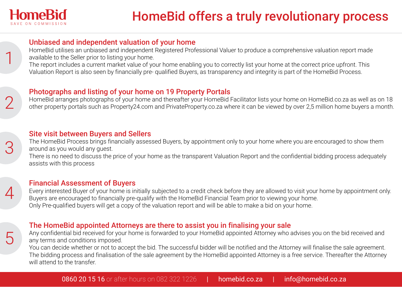<span id="page-2-0"></span>

1

2

3

4

5

#### Unbiased and independent valuation of your home

HomeBid utilises an unbiased and independent Registered Professional Valuer to produce a comprehensive valuation report made available to the Seller prior to listing your home.

The report includes a current market value of your home enabling you to correctly list your home at the correct price upfront. This Valuation Report is also seen by financially pre- qualified Buyers, as transparency and integrity is part of the HomeBid Process.

#### Photographs and listing of your home on 19 Property Portals

HomeBid arranges photographs of your home and thereafter your HomeBid Facilitator lists your home on HomeBid.co.za as well as on 18 other property portals such as Property24.com and PrivateProperty.co.za where it can be viewed by over 2,5 million home buyers a month.

#### Site visit between Buyers and Sellers

The HomeBid Process brings financially assessed Buyers, by appointment only to your home where you are encouraged to show them around as you would any guest.

There is no need to discuss the price of your home as the transparent Valuation Report and the confidential bidding process adequately assists with this process

### Financial Assessment of Buyers

Every interested Buyer of your home is initially subjected to a credit check before they are allowed to visit your home by appointment only. Buyers are encouraged to financially pre-qualify with the HomeBid Financial Team prior to viewing your home. Only Pre-qualified buyers will get a copy of the valuation report and will be able to make a bid on your home.

## The HomeBid appointed Attorneys are there to assist you in finalising your sale

Any confidential bid received for your home is forwarded to your HomeBid appointed Attorney who advises you on the bid received and any terms and conditions imposed.

You can decide whether or not to accept the bid. The successful bidder will be notified and the Attorney will finalise the sale agreement. The bidding process and finalisation of the sale agreement by the HomeBid appointed Attorney is a free service. Thereafter the Attorney will attend to the transfer.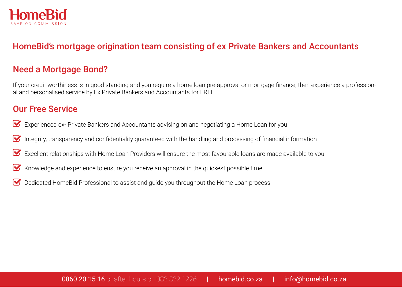<span id="page-3-0"></span>

# HomeBid's mortgage origination team consisting of ex Private Bankers and Accountants

# Need a Mortgage Bond?

If your credit worthiness is in good standing and you require a home loan pre-approval or mortgage finance, then experience a professional and personalised service by Ex Private Bankers and Accountants for FREE

## Our Free Service

- Experienced ex- Private Bankers and Accountants advising on and negotiating a Home Loan for you  $\triangleright$
- Integrity, transparency and confidentiality guaranteed with the handling and processing of financial information  $\boldsymbol{\nabla}$
- Excellent relationships with Home Loan Providers will ensure the most favourable loans are made available to you M
- Knowledge and experience to ensure you receive an approval in the quickest possible time  $\blacktriangledown$
- Dedicated HomeBid Professional to assist and guide you throughout the Home Loan process  $\overline{\mathsf{v}}$